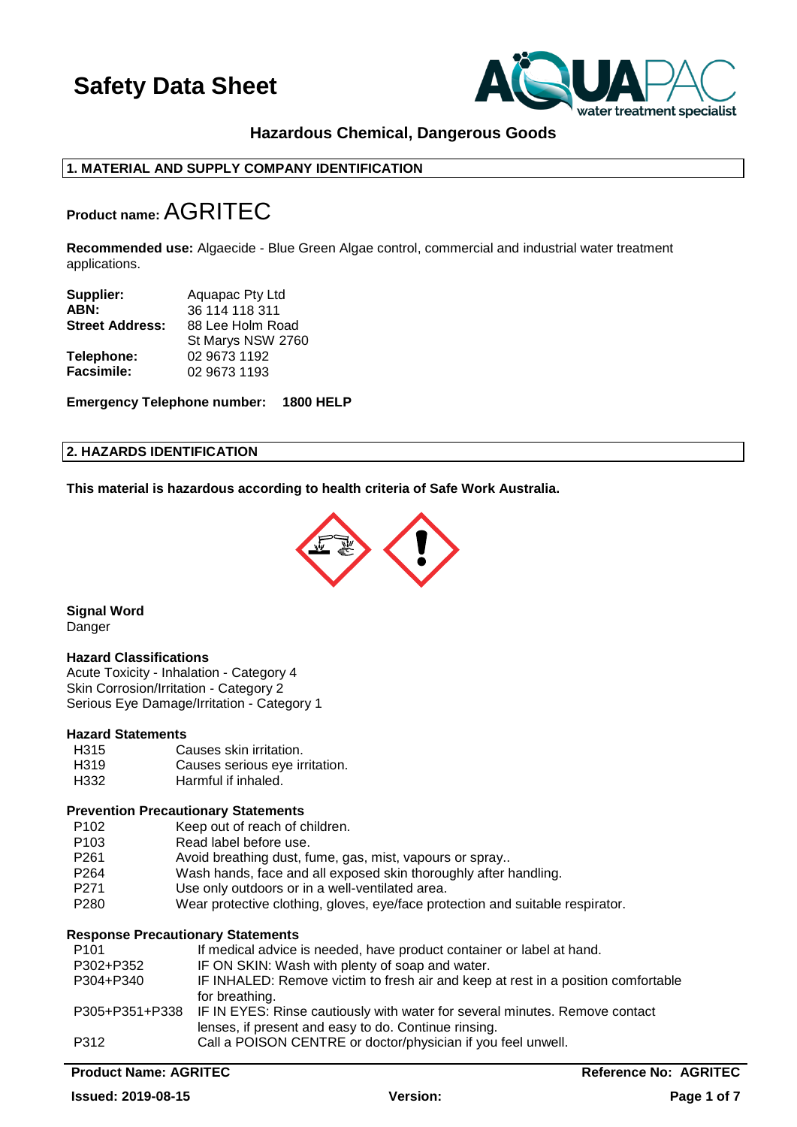

### **Hazardous Chemical, Dangerous Goods**

### **1. MATERIAL AND SUPPLY COMPANY IDENTIFICATION**

## **Product name:**AGRITEC

**Recommended use:** Algaecide - Blue Green Algae control, commercial and industrial water treatment applications.

| Supplier:              | Aquapac Pty Ltd   |  |
|------------------------|-------------------|--|
| ABN:                   | 36 114 118 311    |  |
| <b>Street Address:</b> | 88 Lee Holm Road  |  |
|                        | St Marys NSW 2760 |  |
| Telephone:             | 02 9673 1192      |  |
| <b>Facsimile:</b>      | 02 9673 1193      |  |

**Emergency Telephone number: 1800 HELP**

#### **2. HAZARDS IDENTIFICATION**

**This material is hazardous according to health criteria of Safe Work Australia.**



**Signal Word Danger** 

#### **Hazard Classifications**

Acute Toxicity - Inhalation - Category 4 Skin Corrosion/Irritation - Category 2 Serious Eye Damage/Irritation - Category 1

#### **Hazard Statements**

| H315 | Causes skin irritation.        |
|------|--------------------------------|
| H319 | Causes serious eye irritation. |
| H332 | Harmful if inhaled.            |

#### **Prevention Precautionary Statements**

- P102 Keep out of reach of children.<br>P103 Read label before use.
- P103 Read label before use.<br>P261 Avoid breathing dust, fu
- Avoid breathing dust, fume, gas, mist, vapours or spray..
- P264 Wash hands, face and all exposed skin thoroughly after handling.
- P271 Use only outdoors or in a well-ventilated area.<br>P280 Wear protective clothing dloves eve/face prot
- Wear protective clothing, gloves, eye/face protection and suitable respirator.

### **Response Precautionary Statements**

| P <sub>101</sub> | If medical advice is needed, have product container or label at hand.                      |
|------------------|--------------------------------------------------------------------------------------------|
| P302+P352        | IF ON SKIN: Wash with plenty of soap and water.                                            |
| P304+P340        | IF INHALED: Remove victim to fresh air and keep at rest in a position comfortable          |
|                  | for breathing.                                                                             |
|                  | P305+P351+P338 IF IN EYES: Rinse cautiously with water for several minutes. Remove contact |
|                  | lenses, if present and easy to do. Continue rinsing.                                       |
| P312             | Call a POISON CENTRE or doctor/physician if you feel unwell.                               |
|                  |                                                                                            |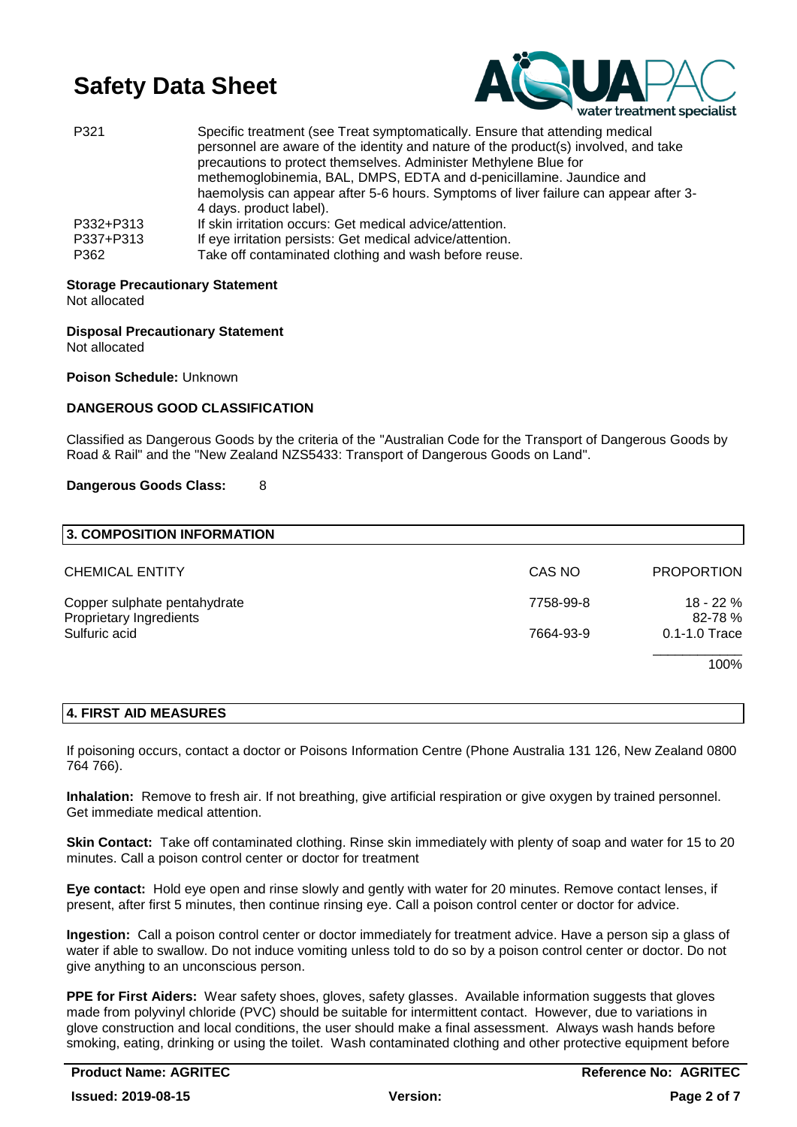

| P321              | Specific treatment (see Treat symptomatically. Ensure that attending medical<br>personnel are aware of the identity and nature of the product(s) involved, and take<br>precautions to protect themselves. Administer Methylene Blue for<br>methemoglobinemia, BAL, DMPS, EDTA and d-penicillamine. Jaundice and<br>haemolysis can appear after 5-6 hours. Symptoms of liver failure can appear after 3-<br>4 days. product label). |
|-------------------|------------------------------------------------------------------------------------------------------------------------------------------------------------------------------------------------------------------------------------------------------------------------------------------------------------------------------------------------------------------------------------------------------------------------------------|
| P332+P313         | If skin irritation occurs: Get medical advice/attention.                                                                                                                                                                                                                                                                                                                                                                           |
| P337+P313<br>P362 | If eye irritation persists: Get medical advice/attention.<br>Take off contaminated clothing and wash before reuse.                                                                                                                                                                                                                                                                                                                 |

# **Storage Precautionary Statement**

Not allocated

## **Disposal Precautionary Statement**

Not allocated

**Poison Schedule:** Unknown

### **DANGEROUS GOOD CLASSIFICATION**

Classified as Dangerous Goods by the criteria of the "Australian Code for the Transport of Dangerous Goods by Road & Rail" and the "New Zealand NZS5433: Transport of Dangerous Goods on Land".

#### **Dangerous Goods Class:** 8

| 3. COMPOSITION INFORMATION                              |           |                       |
|---------------------------------------------------------|-----------|-----------------------|
| <b>CHEMICAL ENTITY</b>                                  | CAS NO    | <b>PROPORTION</b>     |
| Copper sulphate pentahydrate<br>Proprietary Ingredients | 7758-99-8 | $18 - 22%$<br>82-78 % |
| Sulfuric acid                                           | 7664-93-9 | $0.1 - 1.0$ Trace     |
|                                                         |           | 100%                  |

#### **4. FIRST AID MEASURES**

If poisoning occurs, contact a doctor or Poisons Information Centre (Phone Australia 131 126, New Zealand 0800 764 766).

**Inhalation:** Remove to fresh air. If not breathing, give artificial respiration or give oxygen by trained personnel. Get immediate medical attention.

**Skin Contact:** Take off contaminated clothing. Rinse skin immediately with plenty of soap and water for 15 to 20 minutes. Call a poison control center or doctor for treatment

**Eye contact:** Hold eye open and rinse slowly and gently with water for 20 minutes. Remove contact lenses, if present, after first 5 minutes, then continue rinsing eye. Call a poison control center or doctor for advice.

**Ingestion:** Call a poison control center or doctor immediately for treatment advice. Have a person sip a glass of water if able to swallow. Do not induce vomiting unless told to do so by a poison control center or doctor. Do not give anything to an unconscious person.

**PPE for First Aiders:** Wear safety shoes, gloves, safety glasses. Available information suggests that gloves made from polyvinyl chloride (PVC) should be suitable for intermittent contact. However, due to variations in glove construction and local conditions, the user should make a final assessment. Always wash hands before smoking, eating, drinking or using the toilet. Wash contaminated clothing and other protective equipment before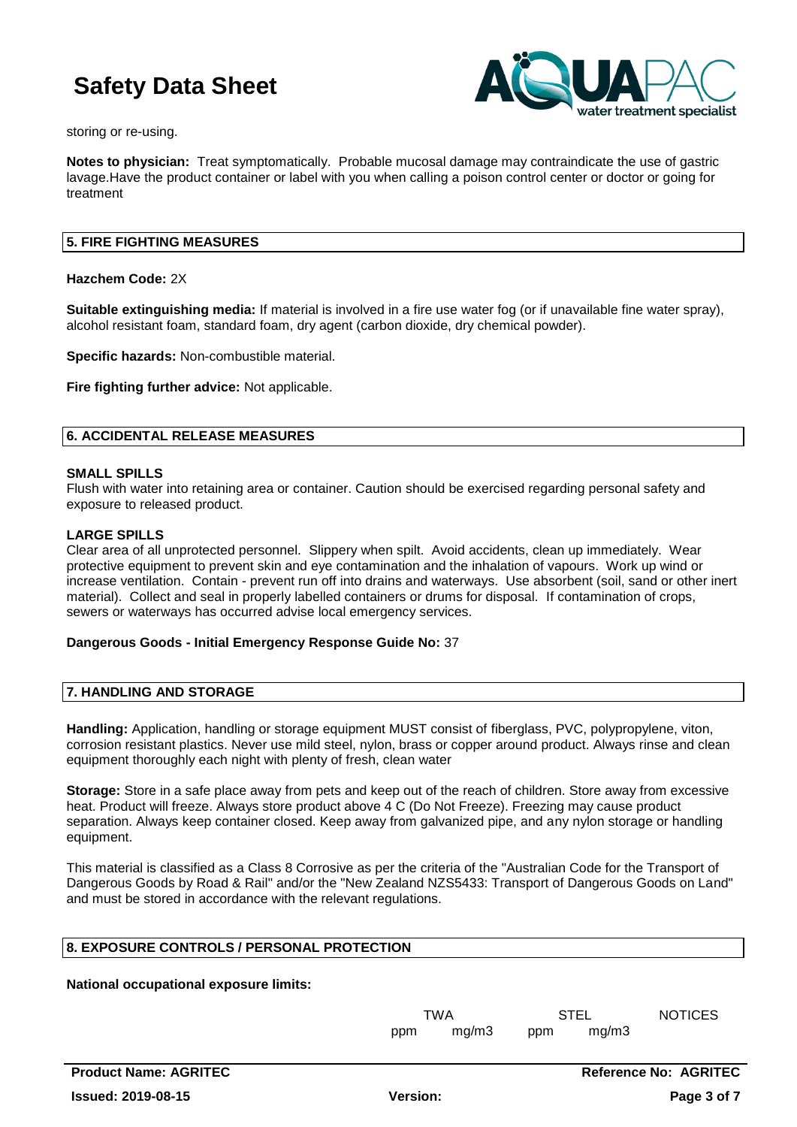

storing or re-using.

**Notes to physician:** Treat symptomatically. Probable mucosal damage may contraindicate the use of gastric lavage.Have the product container or label with you when calling a poison control center or doctor or going for treatment

#### **5. FIRE FIGHTING MEASURES**

**Hazchem Code:** 2X

**Suitable extinguishing media:** If material is involved in a fire use water fog (or if unavailable fine water spray), alcohol resistant foam, standard foam, dry agent (carbon dioxide, dry chemical powder).

**Specific hazards:** Non-combustible material.

**Fire fighting further advice:** Not applicable.

#### **6. ACCIDENTAL RELEASE MEASURES**

#### **SMALL SPILLS**

Flush with water into retaining area or container. Caution should be exercised regarding personal safety and exposure to released product.

#### **LARGE SPILLS**

Clear area of all unprotected personnel. Slippery when spilt. Avoid accidents, clean up immediately. Wear protective equipment to prevent skin and eye contamination and the inhalation of vapours. Work up wind or increase ventilation. Contain - prevent run off into drains and waterways. Use absorbent (soil, sand or other inert material). Collect and seal in properly labelled containers or drums for disposal. If contamination of crops, sewers or waterways has occurred advise local emergency services.

#### **Dangerous Goods - Initial Emergency Response Guide No:** 37

#### **7. HANDLING AND STORAGE**

**Handling:** Application, handling or storage equipment MUST consist of fiberglass, PVC, polypropylene, viton, corrosion resistant plastics. Never use mild steel, nylon, brass or copper around product. Always rinse and clean equipment thoroughly each night with plenty of fresh, clean water

**Storage:** Store in a safe place away from pets and keep out of the reach of children. Store away from excessive heat. Product will freeze. Always store product above 4 C (Do Not Freeze). Freezing may cause product separation. Always keep container closed. Keep away from galvanized pipe, and any nylon storage or handling equipment.

This material is classified as a Class 8 Corrosive as per the criteria of the "Australian Code for the Transport of Dangerous Goods by Road & Rail" and/or the "New Zealand NZS5433: Transport of Dangerous Goods on Land" and must be stored in accordance with the relevant regulations.

#### **8. EXPOSURE CONTROLS / PERSONAL PROTECTION**

#### **National occupational exposure limits:**

TWA STEL NOTICES ppm mg/m3 ppm mg/m3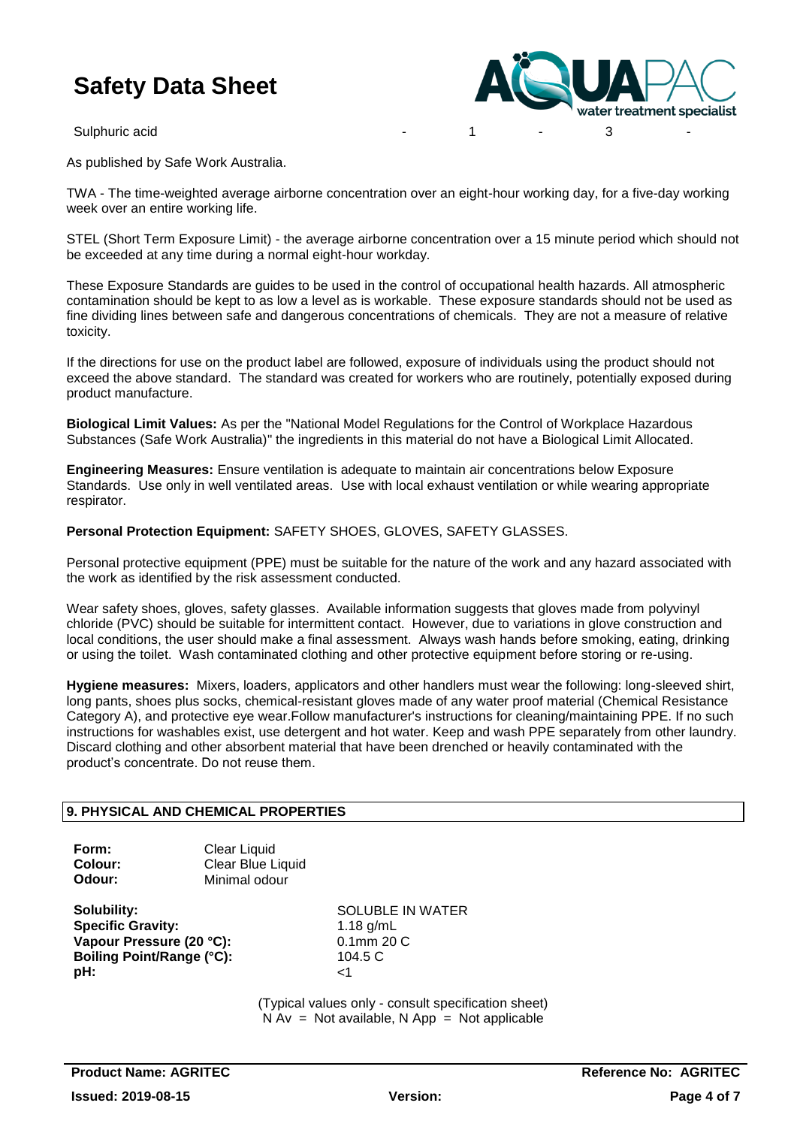

As published by Safe Work Australia.

TWA - The time-weighted average airborne concentration over an eight-hour working day, for a five-day working week over an entire working life.

STEL (Short Term Exposure Limit) - the average airborne concentration over a 15 minute period which should not be exceeded at any time during a normal eight-hour workday.

These Exposure Standards are guides to be used in the control of occupational health hazards. All atmospheric contamination should be kept to as low a level as is workable. These exposure standards should not be used as fine dividing lines between safe and dangerous concentrations of chemicals. They are not a measure of relative toxicity.

If the directions for use on the product label are followed, exposure of individuals using the product should not exceed the above standard. The standard was created for workers who are routinely, potentially exposed during product manufacture.

**Biological Limit Values:** As per the "National Model Regulations for the Control of Workplace Hazardous Substances (Safe Work Australia)" the ingredients in this material do not have a Biological Limit Allocated.

**Engineering Measures:** Ensure ventilation is adequate to maintain air concentrations below Exposure Standards. Use only in well ventilated areas. Use with local exhaust ventilation or while wearing appropriate respirator.

**Personal Protection Equipment:** SAFETY SHOES, GLOVES, SAFETY GLASSES.

Personal protective equipment (PPE) must be suitable for the nature of the work and any hazard associated with the work as identified by the risk assessment conducted.

Wear safety shoes, gloves, safety glasses. Available information suggests that gloves made from polyvinyl chloride (PVC) should be suitable for intermittent contact. However, due to variations in glove construction and local conditions, the user should make a final assessment. Always wash hands before smoking, eating, drinking or using the toilet. Wash contaminated clothing and other protective equipment before storing or re-using.

**Hygiene measures:** Mixers, loaders, applicators and other handlers must wear the following: long-sleeved shirt, long pants, shoes plus socks, chemical-resistant gloves made of any water proof material (Chemical Resistance Category A), and protective eye wear.Follow manufacturer's instructions for cleaning/maintaining PPE. If no such instructions for washables exist, use detergent and hot water. Keep and wash PPE separately from other laundry. Discard clothing and other absorbent material that have been drenched or heavily contaminated with the product's concentrate. Do not reuse them.

### **9. PHYSICAL AND CHEMICAL PROPERTIES**

| Form:   | Clear Liquid      |  |
|---------|-------------------|--|
| Colour: | Clear Blue Liquid |  |
| Odour:  | Minimal odour     |  |

**Specific Gravity:** 1.18 g/mL **Vapour Pressure (20 °C):** 0.1mm 20 C **Boiling Point/Range (°C):** 104.5 C **pH:**  $\le$  1

**Solubility:** SOLUBLE IN WATER

(Typical values only - consult specification sheet)  $N Av = Not available$ . Note available and  $N A$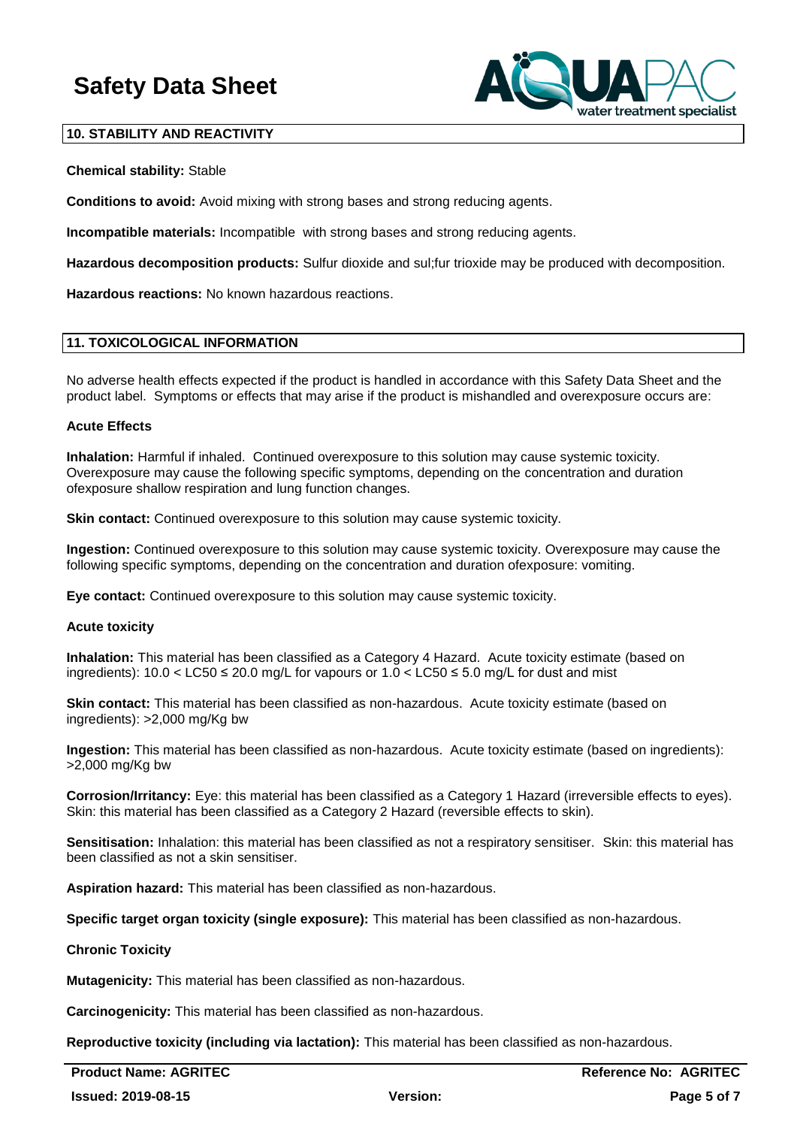

#### **10. STABILITY AND REACTIVITY**

#### **Chemical stability:** Stable

**Conditions to avoid:** Avoid mixing with strong bases and strong reducing agents.

**Incompatible materials:** Incompatible with strong bases and strong reducing agents.

**Hazardous decomposition products:** Sulfur dioxide and sul;fur trioxide may be produced with decomposition.

**Hazardous reactions:** No known hazardous reactions.

#### **11. TOXICOLOGICAL INFORMATION**

No adverse health effects expected if the product is handled in accordance with this Safety Data Sheet and the product label. Symptoms or effects that may arise if the product is mishandled and overexposure occurs are:

#### **Acute Effects**

**Inhalation:** Harmful if inhaled. Continued overexposure to this solution may cause systemic toxicity. Overexposure may cause the following specific symptoms, depending on the concentration and duration ofexposure shallow respiration and lung function changes.

**Skin contact:** Continued overexposure to this solution may cause systemic toxicity.

**Ingestion:** Continued overexposure to this solution may cause systemic toxicity. Overexposure may cause the following specific symptoms, depending on the concentration and duration ofexposure: vomiting.

**Eye contact:** Continued overexposure to this solution may cause systemic toxicity.

#### **Acute toxicity**

**Inhalation:** This material has been classified as a Category 4 Hazard. Acute toxicity estimate (based on ingredients):  $10.0 <$  LC50  $\leq$  20.0 mg/L for vapours or  $1.0 <$  LC50  $\leq$  5.0 mg/L for dust and mist

**Skin contact:** This material has been classified as non-hazardous. Acute toxicity estimate (based on ingredients): >2,000 mg/Kg bw

**Ingestion:** This material has been classified as non-hazardous. Acute toxicity estimate (based on ingredients): >2,000 mg/Kg bw

**Corrosion/Irritancy:** Eye: this material has been classified as a Category 1 Hazard (irreversible effects to eyes). Skin: this material has been classified as a Category 2 Hazard (reversible effects to skin).

**Sensitisation:** Inhalation: this material has been classified as not a respiratory sensitiser. Skin: this material has been classified as not a skin sensitiser.

**Aspiration hazard:** This material has been classified as non-hazardous.

**Specific target organ toxicity (single exposure):** This material has been classified as non-hazardous.

#### **Chronic Toxicity**

**Mutagenicity:** This material has been classified as non-hazardous.

**Carcinogenicity:** This material has been classified as non-hazardous.

**Reproductive toxicity (including via lactation):** This material has been classified as non-hazardous.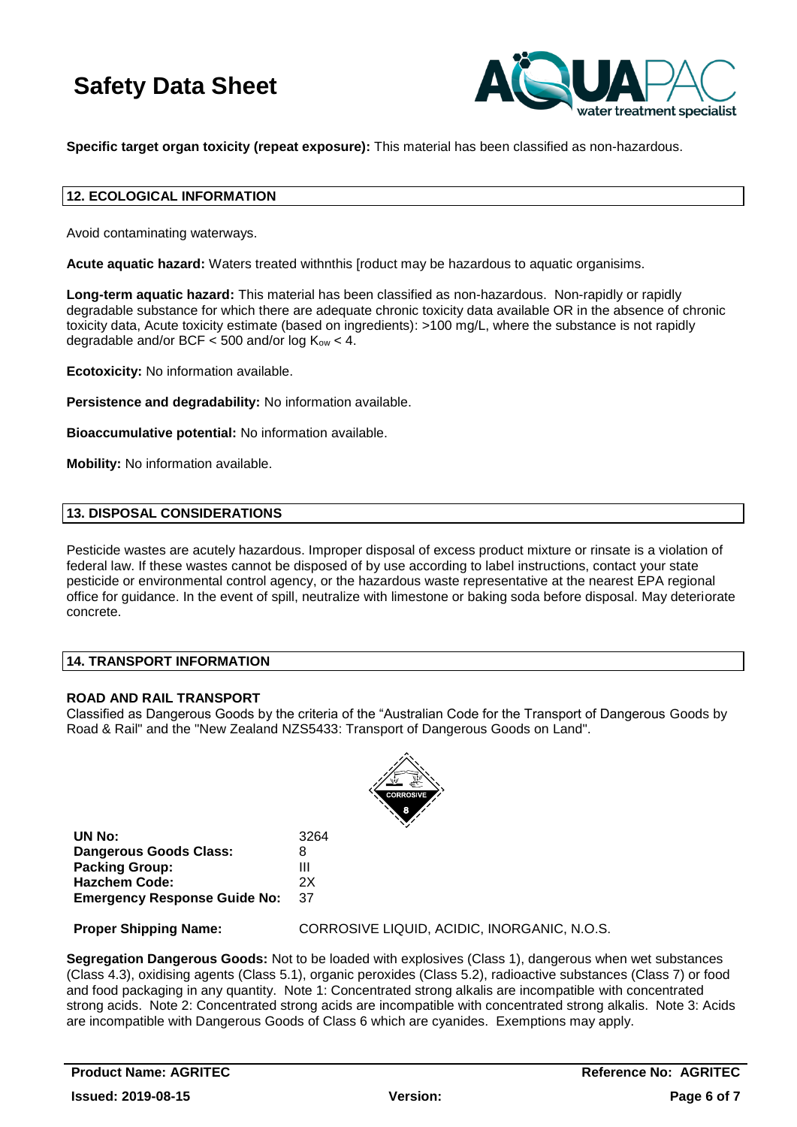

**Specific target organ toxicity (repeat exposure):** This material has been classified as non-hazardous.

#### **12. ECOLOGICAL INFORMATION**

Avoid contaminating waterways.

**Acute aquatic hazard:** Waters treated withnthis [roduct may be hazardous to aquatic organisims.

**Long-term aquatic hazard:** This material has been classified as non-hazardous. Non-rapidly or rapidly degradable substance for which there are adequate chronic toxicity data available OR in the absence of chronic toxicity data, Acute toxicity estimate (based on ingredients): >100 mg/L, where the substance is not rapidly degradable and/or BCF  $<$  500 and/or log  $K_{ow}$   $<$  4.

**Ecotoxicity:** No information available.

**Persistence and degradability:** No information available.

**Bioaccumulative potential:** No information available.

**Mobility:** No information available.

#### **13. DISPOSAL CONSIDERATIONS**

Pesticide wastes are acutely hazardous. Improper disposal of excess product mixture or rinsate is a violation of federal law. If these wastes cannot be disposed of by use according to label instructions, contact your state pesticide or environmental control agency, or the hazardous waste representative at the nearest EPA regional office for guidance. In the event of spill, neutralize with limestone or baking soda before disposal. May deteriorate concrete.

#### **14. TRANSPORT INFORMATION**

#### **ROAD AND RAIL TRANSPORT**

Classified as Dangerous Goods by the criteria of the "Australian Code for the Transport of Dangerous Goods by Road & Rail" and the "New Zealand NZS5433: Transport of Dangerous Goods on Land".



| UN No:                              | 3264 |
|-------------------------------------|------|
| Dangerous Goods Class:              | 8    |
| <b>Packing Group:</b>               | Ш    |
| Hazchem Code:                       | 2X   |
| <b>Emergency Response Guide No:</b> | 37   |

**Proper Shipping Name:** CORROSIVE LIQUID, ACIDIC, INORGANIC, N.O.S.

**Segregation Dangerous Goods:** Not to be loaded with explosives (Class 1), dangerous when wet substances (Class 4.3), oxidising agents (Class 5.1), organic peroxides (Class 5.2), radioactive substances (Class 7) or food and food packaging in any quantity. Note 1: Concentrated strong alkalis are incompatible with concentrated strong acids. Note 2: Concentrated strong acids are incompatible with concentrated strong alkalis. Note 3: Acids are incompatible with Dangerous Goods of Class 6 which are cyanides. Exemptions may apply.